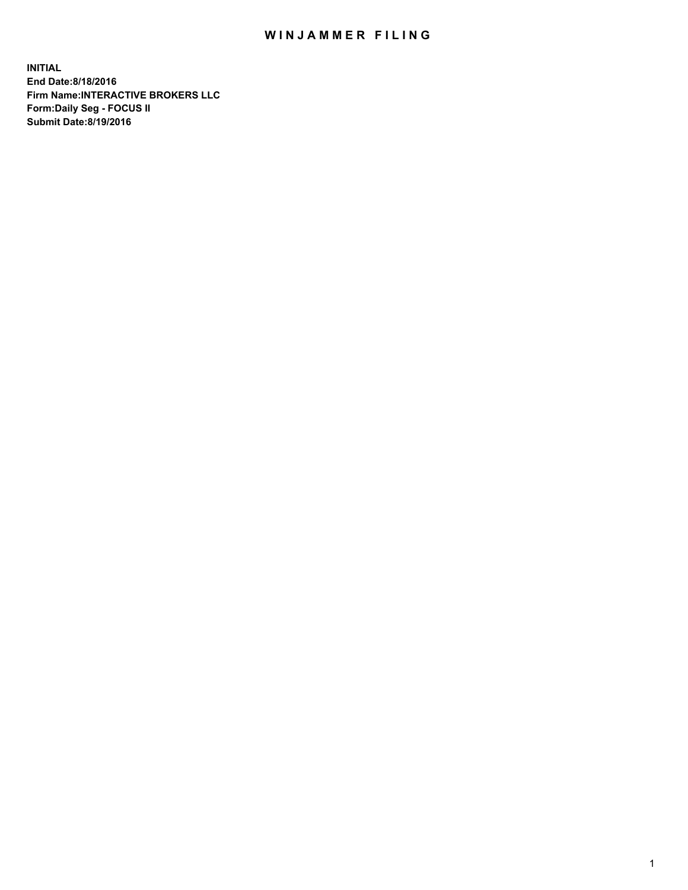## WIN JAMMER FILING

**INITIAL End Date:8/18/2016 Firm Name:INTERACTIVE BROKERS LLC Form:Daily Seg - FOCUS II Submit Date:8/19/2016**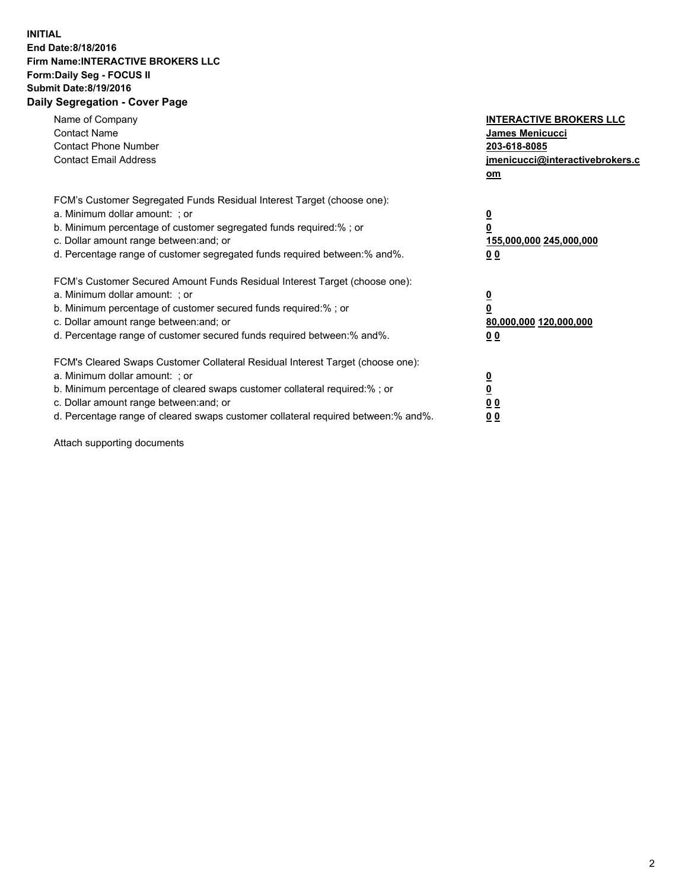## **INITIAL End Date:8/18/2016 Firm Name:INTERACTIVE BROKERS LLC Form:Daily Seg - FOCUS II Submit Date:8/19/2016 Daily Segregation - Cover Page**

| Name of Company<br><b>Contact Name</b><br><b>Contact Phone Number</b><br><b>Contact Email Address</b>                                                                                                                                                                                                                          | <b>INTERACTIVE BROKERS LLC</b><br><b>James Menicucci</b><br>203-618-8085<br>jmenicucci@interactivebrokers.c<br>om |
|--------------------------------------------------------------------------------------------------------------------------------------------------------------------------------------------------------------------------------------------------------------------------------------------------------------------------------|-------------------------------------------------------------------------------------------------------------------|
| FCM's Customer Segregated Funds Residual Interest Target (choose one):<br>a. Minimum dollar amount: ; or<br>b. Minimum percentage of customer segregated funds required:% ; or<br>c. Dollar amount range between: and; or<br>d. Percentage range of customer segregated funds required between: % and %.                       | $\overline{\mathbf{0}}$<br>0<br>155,000,000 245,000,000<br>00                                                     |
| FCM's Customer Secured Amount Funds Residual Interest Target (choose one):<br>a. Minimum dollar amount: ; or<br>b. Minimum percentage of customer secured funds required:%; or<br>c. Dollar amount range between: and; or<br>d. Percentage range of customer secured funds required between: % and %.                          | $\overline{\mathbf{0}}$<br>0<br>80,000,000 120,000,000<br>00                                                      |
| FCM's Cleared Swaps Customer Collateral Residual Interest Target (choose one):<br>a. Minimum dollar amount: ; or<br>b. Minimum percentage of cleared swaps customer collateral required:% ; or<br>c. Dollar amount range between: and; or<br>d. Percentage range of cleared swaps customer collateral required between:% and%. | $\overline{\mathbf{0}}$<br>$\overline{\mathbf{0}}$<br>00<br>0 <sub>0</sub>                                        |

Attach supporting documents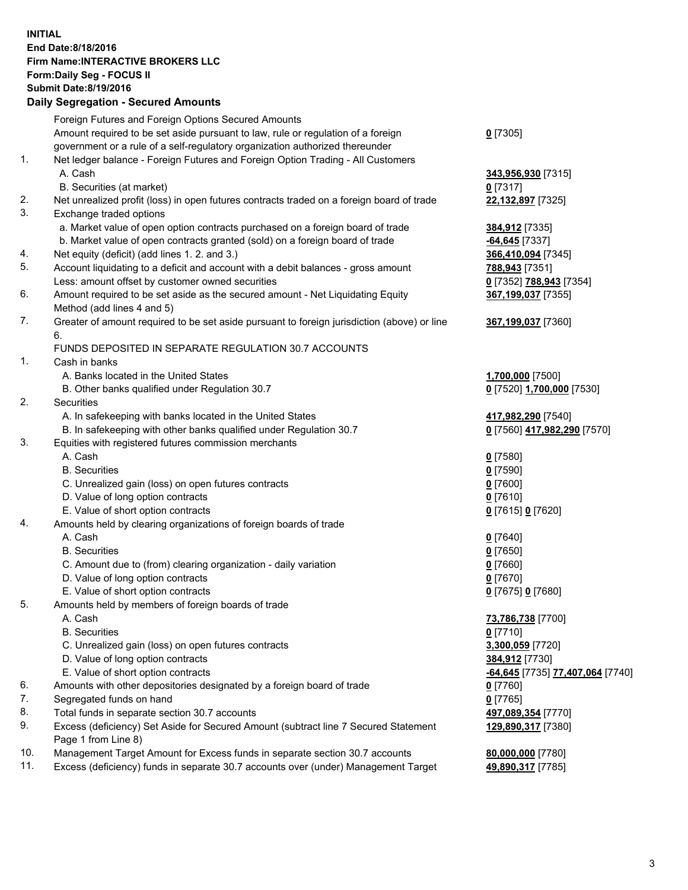## **INITIAL End Date:8/18/2016 Firm Name:INTERACTIVE BROKERS LLC Form:Daily Seg - FOCUS II Submit Date:8/19/2016 Daily Segregation - Secured Amounts**

|     | Daily Ocglegation - Occuled Amounts                                                                        |                                  |
|-----|------------------------------------------------------------------------------------------------------------|----------------------------------|
|     | Foreign Futures and Foreign Options Secured Amounts                                                        |                                  |
|     | Amount required to be set aside pursuant to law, rule or regulation of a foreign                           | $0$ [7305]                       |
|     | government or a rule of a self-regulatory organization authorized thereunder                               |                                  |
| 1.  | Net ledger balance - Foreign Futures and Foreign Option Trading - All Customers                            |                                  |
|     | A. Cash                                                                                                    | 343,956,930 [7315]               |
|     | B. Securities (at market)                                                                                  | $0$ [7317]                       |
| 2.  | Net unrealized profit (loss) in open futures contracts traded on a foreign board of trade                  | 22,132,897 [7325]                |
| 3.  | Exchange traded options                                                                                    |                                  |
|     | a. Market value of open option contracts purchased on a foreign board of trade                             | 384,912 [7335]                   |
|     | b. Market value of open contracts granted (sold) on a foreign board of trade                               | $-64,645$ [7337]                 |
| 4.  | Net equity (deficit) (add lines 1. 2. and 3.)                                                              | 366,410,094 [7345]               |
| 5.  | Account liquidating to a deficit and account with a debit balances - gross amount                          | 788,943 [7351]                   |
|     | Less: amount offset by customer owned securities                                                           | 0 [7352] 788,943 [7354]          |
| 6.  | Amount required to be set aside as the secured amount - Net Liquidating Equity                             | 367,199,037 [7355]               |
|     | Method (add lines 4 and 5)                                                                                 |                                  |
| 7.  | Greater of amount required to be set aside pursuant to foreign jurisdiction (above) or line                | 367,199,037 [7360]               |
|     | 6.                                                                                                         |                                  |
|     | FUNDS DEPOSITED IN SEPARATE REGULATION 30.7 ACCOUNTS                                                       |                                  |
| 1.  | Cash in banks                                                                                              |                                  |
|     | A. Banks located in the United States                                                                      | 1,700,000 [7500]                 |
|     | B. Other banks qualified under Regulation 30.7                                                             | 0 [7520] 1,700,000 [7530]        |
| 2.  | Securities                                                                                                 |                                  |
|     | A. In safekeeping with banks located in the United States                                                  | 417,982,290 [7540]               |
|     | B. In safekeeping with other banks qualified under Regulation 30.7                                         | 0 [7560] 417,982,290 [7570]      |
| 3.  | Equities with registered futures commission merchants                                                      |                                  |
|     | A. Cash                                                                                                    | $0$ [7580]                       |
|     | <b>B.</b> Securities                                                                                       | $0$ [7590]                       |
|     | C. Unrealized gain (loss) on open futures contracts                                                        | $0$ [7600]                       |
|     | D. Value of long option contracts                                                                          | $0$ [7610]                       |
|     | E. Value of short option contracts                                                                         | 0 [7615] 0 [7620]                |
| 4.  | Amounts held by clearing organizations of foreign boards of trade                                          |                                  |
|     | A. Cash                                                                                                    | $0$ [7640]                       |
|     | <b>B.</b> Securities                                                                                       | $0$ [7650]                       |
|     | C. Amount due to (from) clearing organization - daily variation                                            | $0$ [7660]                       |
|     | D. Value of long option contracts                                                                          | $0$ [7670]                       |
|     | E. Value of short option contracts                                                                         | 0 [7675] 0 [7680]                |
| 5.  | Amounts held by members of foreign boards of trade                                                         |                                  |
|     | A. Cash                                                                                                    | 73,786,738 [7700]                |
|     | <b>B.</b> Securities                                                                                       | $0$ [7710]                       |
|     | C. Unrealized gain (loss) on open futures contracts                                                        | 3,300,059 [7720]                 |
|     | D. Value of long option contracts                                                                          | 384,912 [7730]                   |
| 6.  | E. Value of short option contracts                                                                         | -64,645 [7735] 77,407,064 [7740] |
| 7.  | Amounts with other depositories designated by a foreign board of trade                                     | 0 [7760]                         |
| 8.  | Segregated funds on hand                                                                                   | $0$ [7765]                       |
| 9.  | Total funds in separate section 30.7 accounts                                                              | 497,089,354 [7770]               |
|     | Excess (deficiency) Set Aside for Secured Amount (subtract line 7 Secured Statement<br>Page 1 from Line 8) | 129,890,317 [7380]               |
| 10. | Management Target Amount for Excess funds in separate section 30.7 accounts                                | 80,000,000 [7780]                |
| 11. | Excess (deficiency) funds in separate 30.7 accounts over (under) Management Target                         | 49,890,317 [7785]                |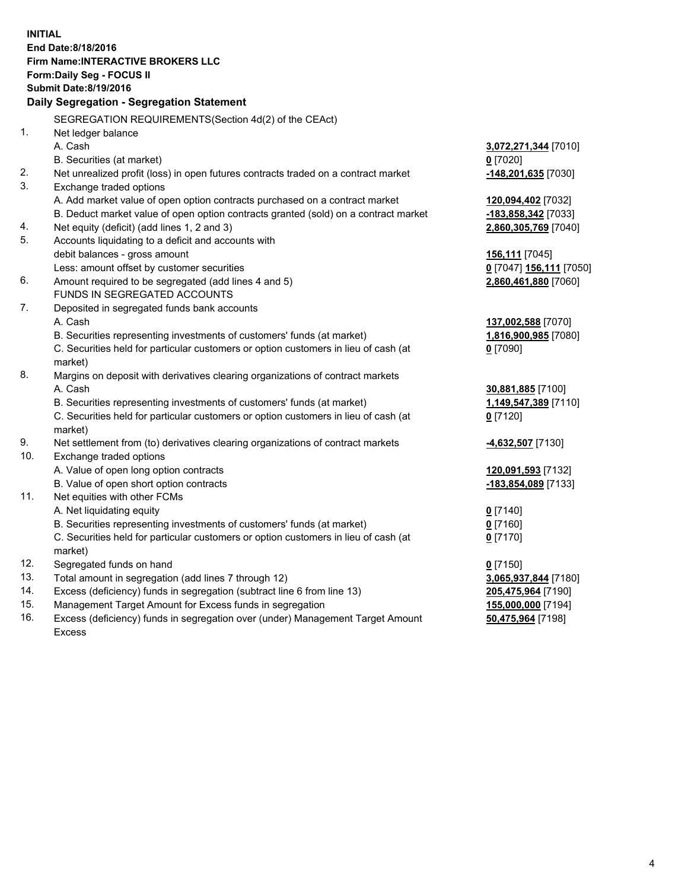**INITIAL End Date:8/18/2016 Firm Name:INTERACTIVE BROKERS LLC Form:Daily Seg - FOCUS II Submit Date:8/19/2016 Daily Segregation - Segregation Statement** SEGREGATION REQUIREMENTS(Section 4d(2) of the CEAct) 1. Net ledger balance A. Cash **3,072,271,344** [7010] B. Securities (at market) **0** [7020] 2. Net unrealized profit (loss) in open futures contracts traded on a contract market **-148,201,635** [7030] 3. Exchange traded options A. Add market value of open option contracts purchased on a contract market **120,094,402** [7032] B. Deduct market value of open option contracts granted (sold) on a contract market **-183,858,342** [7033] 4. Net equity (deficit) (add lines 1, 2 and 3) **2,860,305,769** [7040] 5. Accounts liquidating to a deficit and accounts with debit balances - gross amount **156,111** [7045] Less: amount offset by customer securities **0** [7047] **156,111** [7050] 6. Amount required to be segregated (add lines 4 and 5) **2,860,461,880** [7060] FUNDS IN SEGREGATED ACCOUNTS 7. Deposited in segregated funds bank accounts A. Cash **137,002,588** [7070] B. Securities representing investments of customers' funds (at market) **1,816,900,985** [7080] C. Securities held for particular customers or option customers in lieu of cash (at market) **0** [7090] 8. Margins on deposit with derivatives clearing organizations of contract markets A. Cash **30,881,885** [7100] B. Securities representing investments of customers' funds (at market) **1,149,547,389** [7110] C. Securities held for particular customers or option customers in lieu of cash (at market) **0** [7120] 9. Net settlement from (to) derivatives clearing organizations of contract markets **-4,632,507** [7130] 10. Exchange traded options A. Value of open long option contracts **120,091,593** [7132] B. Value of open short option contracts **-183,854,089** [7133] 11. Net equities with other FCMs A. Net liquidating equity **0** [7140] B. Securities representing investments of customers' funds (at market) **0** [7160] C. Securities held for particular customers or option customers in lieu of cash (at market) **0** [7170] 12. Segregated funds on hand **0** [7150] 13. Total amount in segregation (add lines 7 through 12) **3,065,937,844** [7180] 14. Excess (deficiency) funds in segregation (subtract line 6 from line 13) **205,475,964** [7190] 15. Management Target Amount for Excess funds in segregation **155,000,000** [7194]

16. Excess (deficiency) funds in segregation over (under) Management Target Amount Excess

**50,475,964** [7198]